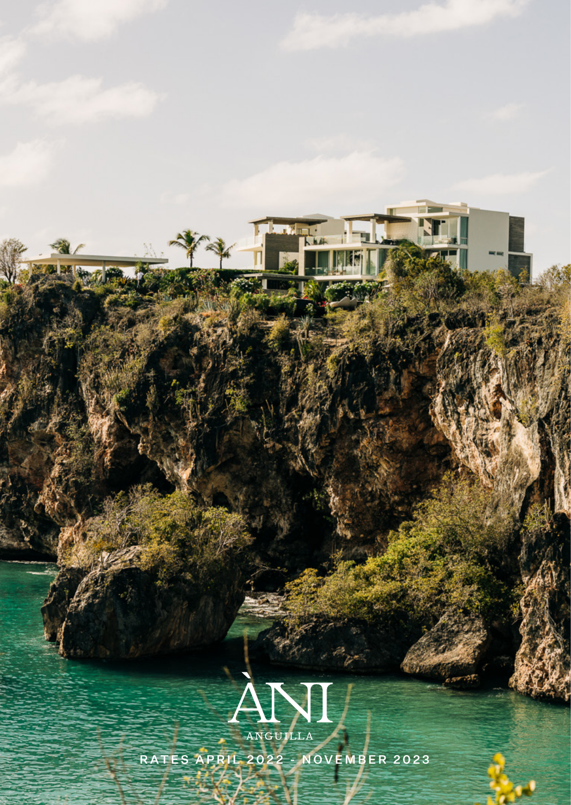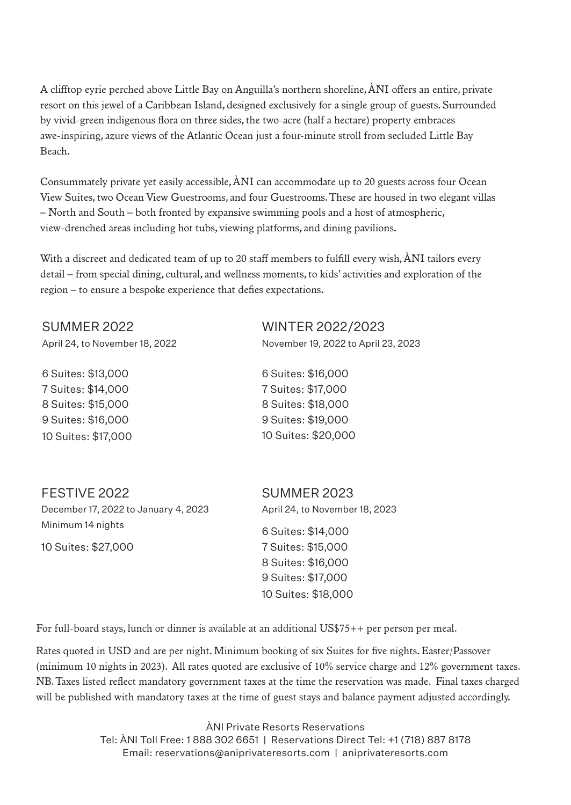*A clifftop eyrie perched above Little Bay on Anguilla's northern shoreline, ÀNI offers an entire, private resort on this jewel of a Caribbean Island, designed exclusively for a single group of guests. Surrounded by vivid-green indigenous flora on three sides, the two-acre (half a hectare) property embraces awe-inspiring, azure views of the Atlantic Ocean just a four-minute stroll from secluded Little Bay Beach.* 

*Consummately private yet easily accessible, ÀNI can accommodate up to 20 guests across four Ocean View Suites, two Ocean View Guestrooms, and four Guestrooms. These are housed in two elegant villas – North and South – both fronted by expansive swimming pools and a host of atmospheric, view-drenched areas including hot tubs, viewing platforms, and dining pavilions.* 

*With a discreet and dedicated team of up to 20 staff members to fulfill every wish, ÀNI tailors every detail – from special dining, cultural, and wellness moments, to kids' activities and exploration of the region – to ensure a bespoke experience that defies expectations.*

SUMMER 2022 April 24, to November 18, 2022

6 Suites: \$13,000 7 Suites: \$14,000 8 Suites: \$15,000 9 Suites: \$16,000 10 Suites: \$17,000 WINTER 2022/2023 November 19, 2022 to April 23, 2023

6 Suites: \$16,000 7 Suites: \$17,000 8 Suites: \$18,000 9 Suites: \$19,000 10 Suites: \$20,000

FESTIVE 2022

December 17, 2022 to January 4, 2023 Minimum 14 nights 10 Suites: \$27,000

SUMMER 2023 April 24, to November 18, 2023 6 Suites: \$14,000 7 Suites: \$15,000 8 Suites: \$16,000 9 Suites: \$17,000

10 Suites: \$18,000

*For full-board stays, lunch or dinner is available at an additional US\$75++ per person per meal.*

*Rates quoted in USD and are per night. Minimum booking of six Suites for five nights. Easter/Passover (minimum 10 nights in 2023). All rates quoted are exclusive of 10% service charge and 12% government taxes. NB. Taxes listed reflect mandatory government taxes at the time the reservation was made. Final taxes charged will be published with mandatory taxes at the time of guest stays and balance payment adjusted accordingly.*

> ÀNI Private Resorts Reservations Tel: ÀNI Toll Free: 1 888 302 6651 | Reservations Direct Tel: +1 (718) 887 8178 Email: reservations@aniprivateresorts.com | aniprivateresorts.com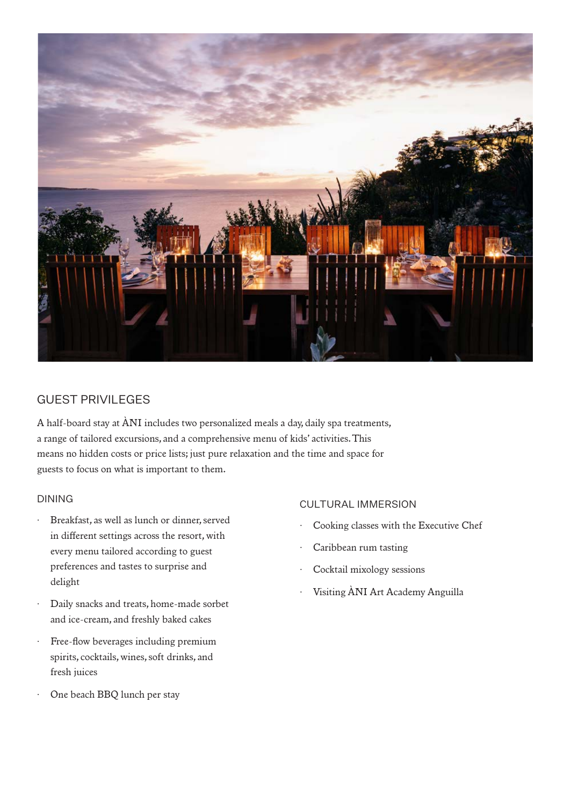

# **GUEST PRIVIL EGES**

*A half-board stay at ÀNI includes two personalized meals a day, daily spa treatments, a range of tailored excursions, and a comprehensive menu of kids' activities. This means no hidden costs or price lists; just pure relaxation and the time and space for guests to focus on what is important to them.*

#### DINING

- Breakfast, as well as lunch or dinner, served *in different settings across the resort, with every menu tailored according to guest preferences and tastes to surprise and delight*
- · *Daily snacks and treats, home-made sorbet and ice-cream, and freshly baked cakes*
- · *Free-flow beverages including premium spirits, cocktails, wines, soft drinks, and fresh juices*
- · *One beach BBQ lunch per stay*

## CULTURAL IMMERSION

- · *Cooking classes with the Executive Chef*
- · *Caribbean rum tasting*
- · *Cocktail mixology sessions*
- · *Visiting ÀNI Art Academy Anguilla*